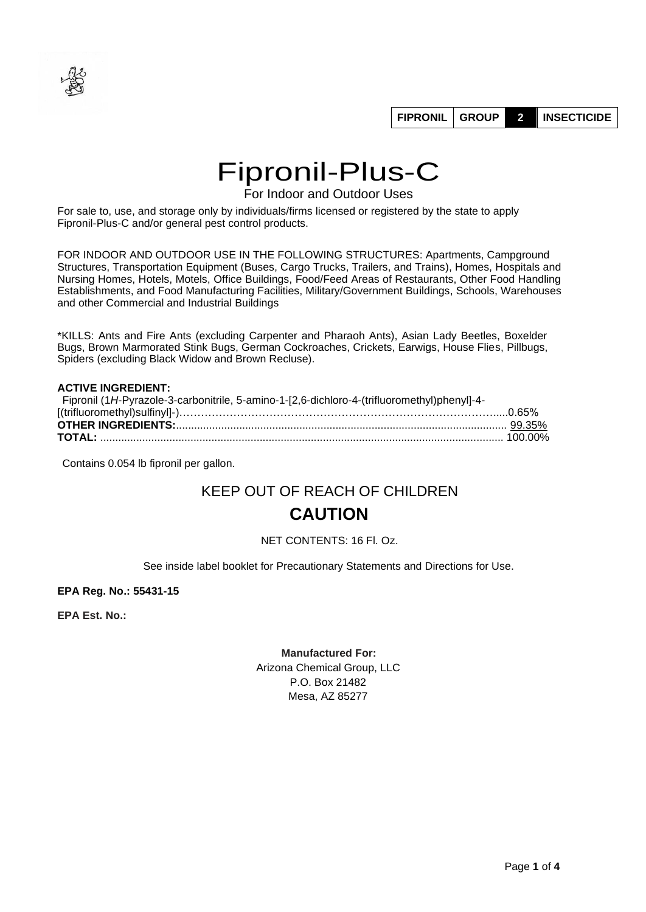

# Fipronil-Plus-C

For Indoor and Outdoor Uses

For sale to, use, and storage only by individuals/firms licensed or registered by the state to apply Fipronil-Plus-C and/or general pest control products.

FOR INDOOR AND OUTDOOR USE IN THE FOLLOWING STRUCTURES: Apartments, Campground Structures, Transportation Equipment (Buses, Cargo Trucks, Trailers, and Trains), Homes, Hospitals and Nursing Homes, Hotels, Motels, Office Buildings, Food/Feed Areas of Restaurants, Other Food Handling Establishments, and Food Manufacturing Facilities, Military/Government Buildings, Schools, Warehouses and other Commercial and Industrial Buildings

\*KILLS: Ants and Fire Ants (excluding Carpenter and Pharaoh Ants), Asian Lady Beetles, Boxelder Bugs, Brown Marmorated Stink Bugs, German Cockroaches, Crickets, Earwigs, House Flies, Pillbugs, Spiders (excluding Black Widow and Brown Recluse).

#### **ACTIVE INGREDIENT:**

| Fipronil (1H-Pyrazole-3-carbonitrile, 5-amino-1-[2,6-dichloro-4-(trifluoromethyl)phenyl]-4- |  |
|---------------------------------------------------------------------------------------------|--|
|                                                                                             |  |
|                                                                                             |  |
|                                                                                             |  |

Contains 0.054 lb fipronil per gallon.

## KEEP OUT OF REACH OF CHILDREN **CAUTION**

#### NET CONTENTS: 16 Fl. Oz.

See inside label booklet for Precautionary Statements and Directions for Use.

**EPA Reg. No.: 55431-15** 

**EPA Est. No.:**

#### **Manufactured For:**

Arizona Chemical Group, LLC P.O. Box 21482 Mesa, AZ 85277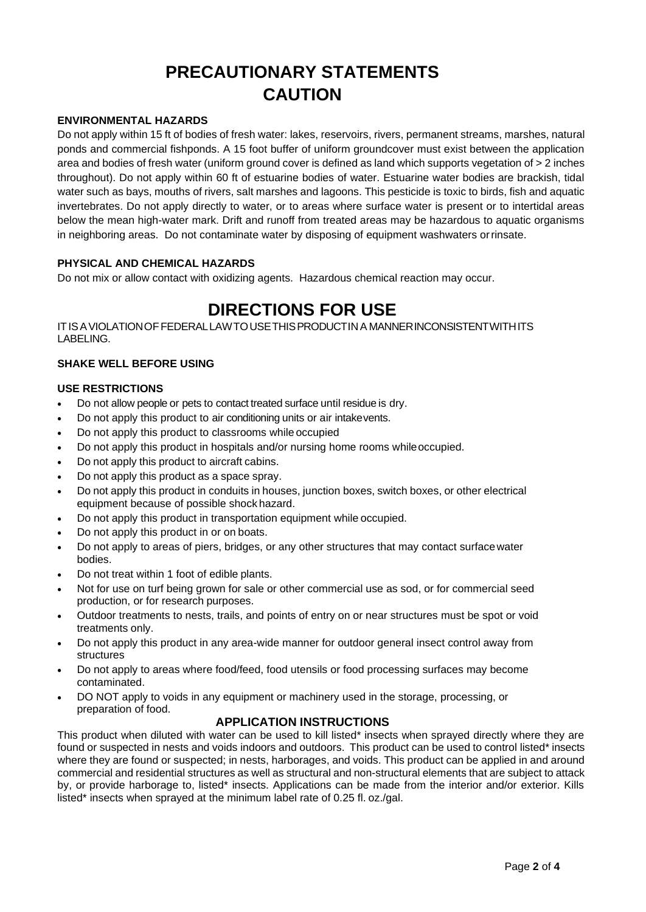# **PRECAUTIONARY STATEMENTS CAUTION**

#### **ENVIRONMENTAL HAZARDS**

Do not apply within 15 ft of bodies of fresh water: lakes, reservoirs, rivers, permanent streams, marshes, natural ponds and commercial fishponds. A 15 foot buffer of uniform groundcover must exist between the application area and bodies of fresh water (uniform ground cover is defined as land which supports vegetation of > 2 inches throughout). Do not apply within 60 ft of estuarine bodies of water. Estuarine water bodies are brackish, tidal water such as bays, mouths of rivers, salt marshes and lagoons. This pesticide is toxic to birds, fish and aquatic invertebrates. Do not apply directly to water, or to areas where surface water is present or to intertidal areas below the mean high-water mark. Drift and runoff from treated areas may be hazardous to aquatic organisms in neighboring areas. Do not contaminate water by disposing of equipment washwaters orrinsate.

#### **PHYSICAL AND CHEMICAL HAZARDS**

Do not mix or allow contact with oxidizing agents. Hazardous chemical reaction may occur.

### **DIRECTIONS FOR USE**

ITISAVIOLATIONOFFEDERALLAWTOUSETHISPRODUCTINA MANNERINCONSISTENTWITHITS LABELING.

#### **SHAKE WELL BEFORE USING**

#### **USE RESTRICTIONS**

- Do not allow people or pets to contact treated surface until residue is dry.
- Do not apply this product to air conditioning units or air intakevents.
- Do not apply this product to classrooms while occupied
- Do not apply this product in hospitals and/or nursing home rooms whileoccupied.
- Do not apply this product to aircraft cabins.
- Do not apply this product as a space spray.
- Do not apply this product in conduits in houses, junction boxes, switch boxes, or other electrical equipment because of possible shock hazard.
- Do not apply this product in transportation equipment while occupied.
- Do not apply this product in or on boats.
- Do not apply to areas of piers, bridges, or any other structures that may contact surfacewater bodies.
- Do not treat within 1 foot of edible plants.
- Not for use on turf being grown for sale or other commercial use as sod, or for commercial seed production, or for research purposes.
- Outdoor treatments to nests, trails, and points of entry on or near structures must be spot or void treatments only.
- Do not apply this product in any area-wide manner for outdoor general insect control away from structures
- Do not apply to areas where food/feed, food utensils or food processing surfaces may become contaminated.
- DO NOT apply to voids in any equipment or machinery used in the storage, processing, or preparation of food.

#### **APPLICATION INSTRUCTIONS**

This product when diluted with water can be used to kill listed\* insects when sprayed directly where they are found or suspected in nests and voids indoors and outdoors. This product can be used to control listed\* insects where they are found or suspected; in nests, harborages, and voids. This product can be applied in and around commercial and residential structures as well as structural and non-structural elements that are subject to attack by, or provide harborage to, listed\* insects. Applications can be made from the interior and/or exterior. Kills listed\* insects when sprayed at the minimum label rate of 0.25 fl. oz./gal.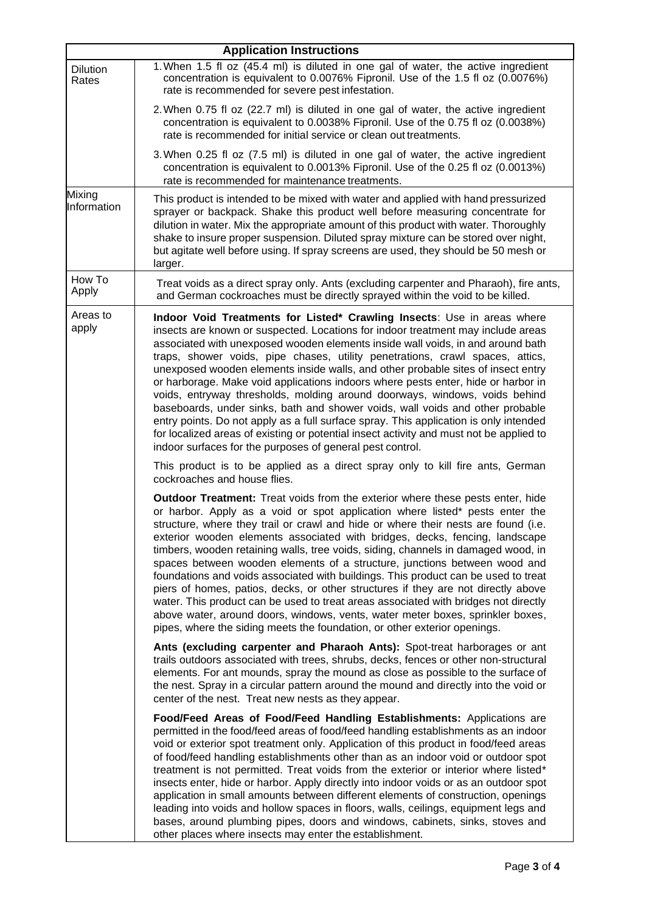|                       | <b>Application Instructions</b>                                                                                                                                                                                                                                                                                                                                                                                                                                                                                                                                                                                                                                                                                                                                                                                                                                                                                                               |
|-----------------------|-----------------------------------------------------------------------------------------------------------------------------------------------------------------------------------------------------------------------------------------------------------------------------------------------------------------------------------------------------------------------------------------------------------------------------------------------------------------------------------------------------------------------------------------------------------------------------------------------------------------------------------------------------------------------------------------------------------------------------------------------------------------------------------------------------------------------------------------------------------------------------------------------------------------------------------------------|
| Dilution<br>Rates     | 1. When 1.5 fl oz (45.4 ml) is diluted in one gal of water, the active ingredient<br>concentration is equivalent to 0.0076% Fipronil. Use of the 1.5 fl oz (0.0076%)<br>rate is recommended for severe pest infestation.                                                                                                                                                                                                                                                                                                                                                                                                                                                                                                                                                                                                                                                                                                                      |
|                       | 2. When 0.75 fl oz (22.7 ml) is diluted in one gal of water, the active ingredient<br>concentration is equivalent to 0.0038% Fipronil. Use of the 0.75 fl oz (0.0038%)<br>rate is recommended for initial service or clean out treatments.                                                                                                                                                                                                                                                                                                                                                                                                                                                                                                                                                                                                                                                                                                    |
|                       | 3. When 0.25 fl oz (7.5 ml) is diluted in one gal of water, the active ingredient<br>concentration is equivalent to 0.0013% Fipronil. Use of the 0.25 fl oz (0.0013%)<br>rate is recommended for maintenance treatments.                                                                                                                                                                                                                                                                                                                                                                                                                                                                                                                                                                                                                                                                                                                      |
| Mixing<br>Information | This product is intended to be mixed with water and applied with hand pressurized<br>sprayer or backpack. Shake this product well before measuring concentrate for<br>dilution in water. Mix the appropriate amount of this product with water. Thoroughly<br>shake to insure proper suspension. Diluted spray mixture can be stored over night,<br>but agitate well before using. If spray screens are used, they should be 50 mesh or<br>larger.                                                                                                                                                                                                                                                                                                                                                                                                                                                                                            |
| How To<br>Apply       | Treat voids as a direct spray only. Ants (excluding carpenter and Pharaoh), fire ants,<br>and German cockroaches must be directly sprayed within the void to be killed.                                                                                                                                                                                                                                                                                                                                                                                                                                                                                                                                                                                                                                                                                                                                                                       |
| Areas to<br>apply     | Indoor Void Treatments for Listed* Crawling Insects: Use in areas where<br>insects are known or suspected. Locations for indoor treatment may include areas<br>associated with unexposed wooden elements inside wall voids, in and around bath<br>traps, shower voids, pipe chases, utility penetrations, crawl spaces, attics,<br>unexposed wooden elements inside walls, and other probable sites of insect entry<br>or harborage. Make void applications indoors where pests enter, hide or harbor in<br>voids, entryway thresholds, molding around doorways, windows, voids behind<br>baseboards, under sinks, bath and shower voids, wall voids and other probable<br>entry points. Do not apply as a full surface spray. This application is only intended<br>for localized areas of existing or potential insect activity and must not be applied to<br>indoor surfaces for the purposes of general pest control.                      |
|                       | This product is to be applied as a direct spray only to kill fire ants, German<br>cockroaches and house flies.                                                                                                                                                                                                                                                                                                                                                                                                                                                                                                                                                                                                                                                                                                                                                                                                                                |
|                       | <b>Outdoor Treatment:</b> Treat voids from the exterior where these pests enter, hide<br>or harbor. Apply as a void or spot application where listed* pests enter the<br>structure, where they trail or crawl and hide or where their nests are found (i.e.<br>exterior wooden elements associated with bridges, decks, fencing, landscape<br>timbers, wooden retaining walls, tree voids, siding, channels in damaged wood, in<br>spaces between wooden elements of a structure, junctions between wood and<br>foundations and voids associated with buildings. This product can be used to treat<br>piers of homes, patios, decks, or other structures if they are not directly above<br>water. This product can be used to treat areas associated with bridges not directly<br>above water, around doors, windows, vents, water meter boxes, sprinkler boxes,<br>pipes, where the siding meets the foundation, or other exterior openings. |
|                       | Ants (excluding carpenter and Pharaoh Ants): Spot-treat harborages or ant<br>trails outdoors associated with trees, shrubs, decks, fences or other non-structural<br>elements. For ant mounds, spray the mound as close as possible to the surface of<br>the nest. Spray in a circular pattern around the mound and directly into the void or<br>center of the nest. Treat new nests as they appear.                                                                                                                                                                                                                                                                                                                                                                                                                                                                                                                                          |
|                       | Food/Feed Areas of Food/Feed Handling Establishments: Applications are<br>permitted in the food/feed areas of food/feed handling establishments as an indoor<br>void or exterior spot treatment only. Application of this product in food/feed areas<br>of food/feed handling establishments other than as an indoor void or outdoor spot<br>treatment is not permitted. Treat voids from the exterior or interior where listed*<br>insects enter, hide or harbor. Apply directly into indoor voids or as an outdoor spot<br>application in small amounts between different elements of construction, openings<br>leading into voids and hollow spaces in floors, walls, ceilings, equipment legs and<br>bases, around plumbing pipes, doors and windows, cabinets, sinks, stoves and<br>other places where insects may enter the establishment.                                                                                              |